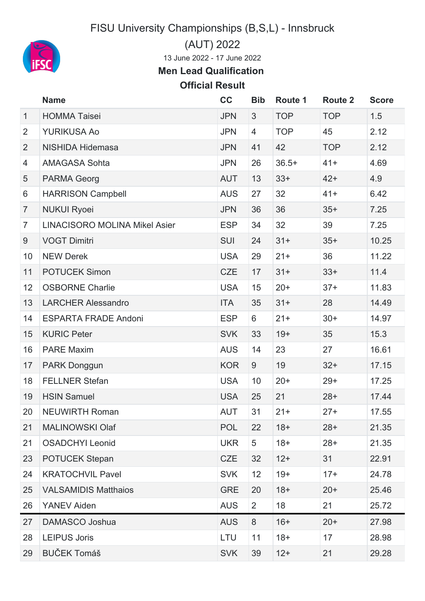FISU University Championships (B,S,L) - Innsbruck



(AUT) 2022

June 2022 - 17 June 2022

**Men Lead Qualification**

## **Official Result**

|                | <b>Name</b>                          | cc         | <b>Bib</b>     | Route 1    | <b>Route 2</b> | <b>Score</b> |
|----------------|--------------------------------------|------------|----------------|------------|----------------|--------------|
| $\mathbf{1}$   | <b>HOMMA Taisei</b>                  | <b>JPN</b> | $\mathfrak{S}$ | <b>TOP</b> | <b>TOP</b>     | 1.5          |
| $\overline{2}$ | <b>YURIKUSA Ao</b>                   | <b>JPN</b> | $\overline{4}$ | <b>TOP</b> | 45             | 2.12         |
| $\overline{2}$ | <b>NISHIDA Hidemasa</b>              | <b>JPN</b> | 41             | 42         | <b>TOP</b>     | 2.12         |
| $\overline{4}$ | <b>AMAGASA Sohta</b>                 | <b>JPN</b> | 26             | $36.5+$    | $41+$          | 4.69         |
| 5              | <b>PARMA Georg</b>                   | <b>AUT</b> | 13             | $33+$      | $42+$          | 4.9          |
| 6              | <b>HARRISON Campbell</b>             | <b>AUS</b> | 27             | 32         | $41+$          | 6.42         |
| $\overline{7}$ | <b>NUKUI Ryoei</b>                   | <b>JPN</b> | 36             | 36         | $35+$          | 7.25         |
| $\overline{7}$ | <b>LINACISORO MOLINA Mikel Asier</b> | <b>ESP</b> | 34             | 32         | 39             | 7.25         |
| 9              | <b>VOGT Dimitri</b>                  | <b>SUI</b> | 24             | $31+$      | $35+$          | 10.25        |
| 10             | <b>NEW Derek</b>                     | <b>USA</b> | 29             | $21+$      | 36             | 11.22        |
| 11             | <b>POTUCEK Simon</b>                 | <b>CZE</b> | 17             | $31 +$     | $33+$          | 11.4         |
| 12             | <b>OSBORNE Charlie</b>               | <b>USA</b> | 15             | $20+$      | $37+$          | 11.83        |
| 13             | <b>LARCHER Alessandro</b>            | <b>ITA</b> | 35             | $31 +$     | 28             | 14.49        |
| 14             | <b>ESPARTA FRADE Andoni</b>          | <b>ESP</b> | 6              | $21 +$     | $30+$          | 14.97        |
| 15             | <b>KURIC Peter</b>                   | <b>SVK</b> | 33             | $19+$      | 35             | 15.3         |
| 16             | <b>PARE Maxim</b>                    | <b>AUS</b> | 14             | 23         | 27             | 16.61        |
| 17             | PARK Donggun                         | <b>KOR</b> | 9              | 19         | $32+$          | 17.15        |
| 18             | <b>FELLNER Stefan</b>                | <b>USA</b> | 10             | $20+$      | $29+$          | 17.25        |
| 19             | <b>HSIN Samuel</b>                   | <b>USA</b> | 25             | 21         | $28+$          | 17.44        |
| 20             | <b>NEUWIRTH Roman</b>                | AUT        | 31             | $21+$      | $27+$          | 17.55        |
| 21             | <b>MALINOWSKI Olaf</b>               | <b>POL</b> | 22             | $18+$      | $28+$          | 21.35        |
| 21             | <b>OSADCHYI Leonid</b>               | <b>UKR</b> | 5              | $18+$      | $28+$          | 21.35        |
| 23             | <b>POTUCEK Stepan</b>                | <b>CZE</b> | 32             | $12+$      | 31             | 22.91        |
| 24             | <b>KRATOCHVIL Pavel</b>              | <b>SVK</b> | 12             | $19+$      | $17+$          | 24.78        |
| 25             | <b>VALSAMIDIS Matthaios</b>          | <b>GRE</b> | 20             | $18+$      | $20+$          | 25.46        |
| 26             | <b>YANEV Aiden</b>                   | <b>AUS</b> | $\overline{2}$ | 18         | 21             | 25.72        |
| 27             | DAMASCO Joshua                       | <b>AUS</b> | 8              | $16+$      | $20+$          | 27.98        |
| 28             | <b>LEIPUS Joris</b>                  | LTU        | 11             | $18+$      | 17             | 28.98        |
| 29             | <b>BUČEK Tomáš</b>                   | <b>SVK</b> | 39             | $12+$      | 21             | 29.28        |